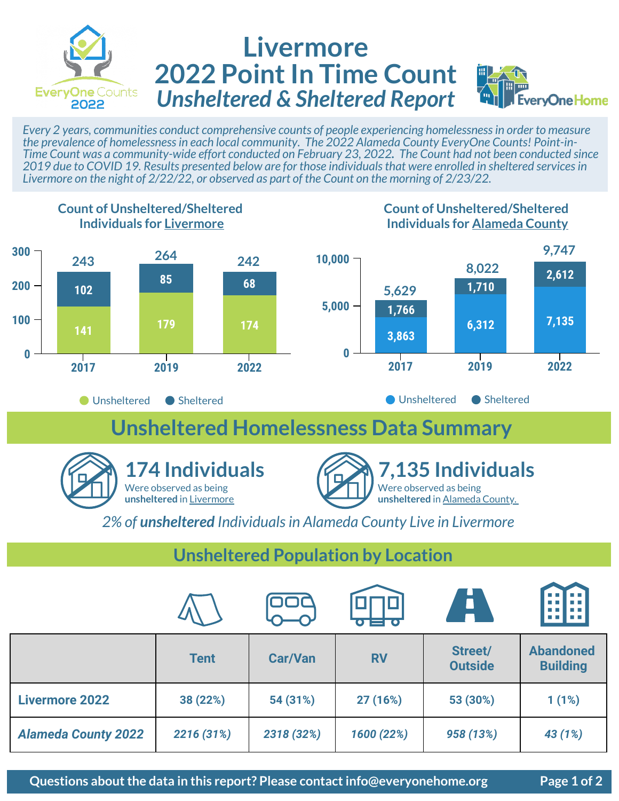

## **Livermore 2022 Point In Time Count** *Unsheltered & Sheltered Report*



*Every 2 years, communities conduct comprehensive counts of people experiencing homelessness in order to measure the prevalence of homelessness in each local community. The 2022 Alameda County EveryOne Counts! Point-in-Time Count was a community-wide effort conducted on February 23, 2022. The Count had not been conducted since 2019 due to COVID 19. Results presented below are for those individuals that were enrolled in sheltered services in Livermore on the night of 2/22/22, or observed as part of the Count on the morning of 2/23/22.* 



*2% of unsheltered Individuals in Alameda County Live in Livermore*

## **Unsheltered Population by Location**

|                            |             |                | $\overline{\mathbf{O}}$ $\overline{\mathbf{O}}$ $\overline{\mathbf{O}}$ $\overline{\mathbf{O}}$ | A                         | 88<br>88 B B                        |
|----------------------------|-------------|----------------|-------------------------------------------------------------------------------------------------|---------------------------|-------------------------------------|
|                            | <b>Tent</b> | <b>Car/Van</b> | <b>RV</b>                                                                                       | Street/<br><b>Outside</b> | <b>Abandoned</b><br><b>Building</b> |
| <b>Livermore 2022</b>      | 38 (22%)    | 54 (31%)       | 27 (16%)                                                                                        | 53 (30%)                  | 1(1%)                               |
| <b>Alameda County 2022</b> | 2216 (31%)  | 2318 (32%)     | 1600 (22%)                                                                                      | 958 (13%)                 | 43 (1%)                             |